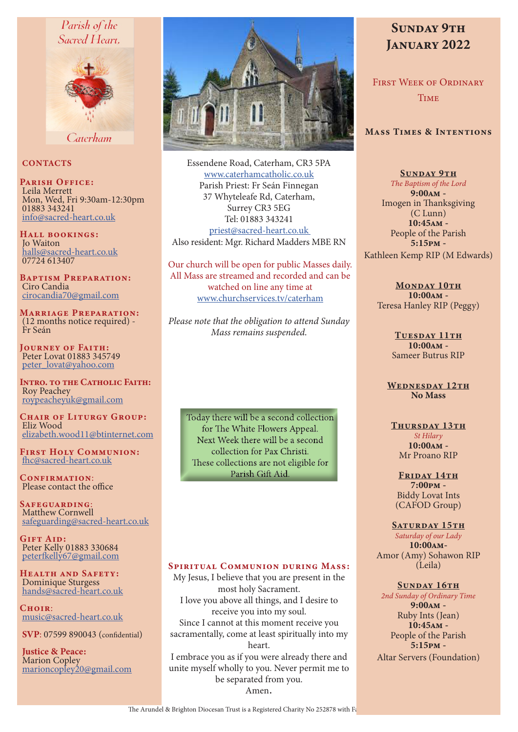## Parish of the Sacred Heart.



Caterham

#### **CONTACTS**

PARISH OFFICE: Leila Merrett Mon, Wed, Fri 9:30am-12:30pm 01883 343241 info@sacred-heart.co.uk

Hall bookings: Jo Waiton halls@sacred-heart.co.uk 07724 613407

Baptism Preparation: Ciro Candia cirocandia70@gmail.com

Marriage Preparation: (12 months notice required) - Fr Seán

JOURNEY OF FAITH: Peter Lovat 01883 345749 peter\_lovat@yahoo.com

Intro. to the Catholic Faith: Roy Peachey roypeacheyuk@gmail.com

CHAIR OF LITURGY GROUP: Eliz Wood elizabeth.wood11@btinternet.com

First Holy Communion: fhc@sacred-heart.co.uk

CONFIRMATION: Please contact the office

Safeguarding: Matthew Cornwell safeguarding@sacred-heart.co.uk

GIFT AID: Peter Kelly 01883 330684 peterfkelly67@gmail.com

Health and Safety: Dominique Sturgess hands@sacred-heart.co.uk

 $C$ HOIP: music@sacred-heart.co.uk

SVP: 07599 890043 (confidential)

Justice & Peace: Marion Copley marioncopley20@gmail.com



Essendene Road, Caterham, CR3 5PA www.caterhamcatholic.co.uk Parish Priest: Fr Seán Finnegan 37 Whyteleafe Rd, Caterham, Surrey CR3 5EG Tel: 01883 343241 priest@sacred-heart.co.uk Also resident: Mgr. Richard Madders MBE RN

Our church will be open for public Masses daily. All Mass are streamed and recorded and can be watched on line any time at www.churchservices.tv/caterham

*Please note that the obligation to attend Sunday Mass remains suspended.*

Today there will be a second collection for The White Flowers Appeal. Next Week there will be a second collection for Pax Christi. These collections are not eligible for Parish Gift Aid.

#### SPIRITUAL COMMUNION DURING MASS:

My Jesus, I believe that you are present in the most holy Sacrament. I love you above all things, and I desire to receive you into my soul. Since I cannot at this moment receive you sacramentally, come at least spiritually into my heart. I embrace you as if you were already there and unite myself wholly to you. Never permit me to be separated from you. Amen.

# SUNDAY 9TH JANUARY 2022

First Week of Ordinary **TIME** 

### Mass Times & Intentions

SUNDAY 9TH *The Baptism of the Lord* 9:00am - Imogen in Thanksgiving (C Lunn) 10:45am - People of the Parish 5:15pm - Kathleen Kemp RIP (M Edwards)

MONDAY 10TH 10:00am - Teresa Hanley RIP (Peggy)

> TUESDAY 11TH 10:00am - Sameer Butrus RIP

WEDNESDAY 12TH No Mass

#### THURSDAY 13TH

*St Hilary* 10:00am - Mr Proano RIP

FRIDAY 14TH 7:00pm - Biddy Lovat Ints (CAFOD Group)

#### SATURDAY 15TH

*Saturday of our Lady*  $10:00$  $\text{AM}$ -Amor (Amy) Sohawon RIP (Leila)

#### SUNDAY 16TH

*2nd Sunday of Ordinary Time* 9:00am - Ruby Ints (Jean) 10:45am - People of the Parish 5:15pm - Altar Servers (Foundation)